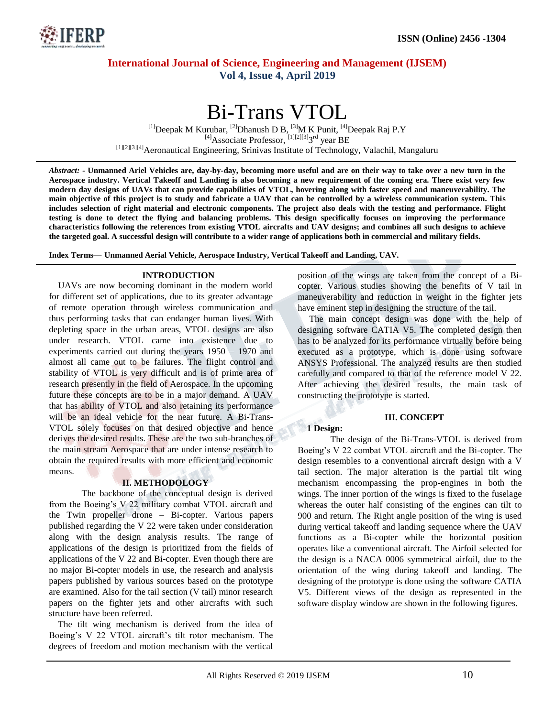

### **International Journal of Science, Engineering and Management (IJSEM) Vol 4, Issue 4, April 2019**

# Bi-Trans VTOL

 $^{[1]}$ Deepak M Kurubar,  $^{[2]}$ Dhanush D B,  $^{[3]}$ M K Punit,  $^{[4]}$ Deepak Raj P.Y  $^{[4]}$ Associate Professor,  $^{[1][2][3]}3^{rd}$  year BE [1][2][3][4]Aeronautical Engineering, Srinivas Institute of Technology, Valachil, Mangaluru

*Abstract: -* **Unmanned Ariel Vehicles are, day-by-day, becoming more useful and are on their way to take over a new turn in the Aerospace industry. Vertical Takeoff and Landing is also becoming a new requirement of the coming era. There exist very few modern day designs of UAVs that can provide capabilities of VTOL, hovering along with faster speed and maneuverability. The main objective of this project is to study and fabricate a UAV that can be controlled by a wireless communication system. This includes selection of right material and electronic components. The project also deals with the testing and performance. Flight testing is done to detect the flying and balancing problems. This design specifically focuses on improving the performance characteristics following the references from existing VTOL aircrafts and UAV designs; and combines all such designs to achieve the targeted goal. A successful design will contribute to a wider range of applications both in commercial and military fields.**

**Index Terms— Unmanned Aerial Vehicle, Aerospace Industry, Vertical Takeoff and Landing, UAV.** 

#### **INTRODUCTION**

UAVs are now becoming dominant in the modern world for different set of applications, due to its greater advantage of remote operation through wireless communication and thus performing tasks that can endanger human lives. With depleting space in the urban areas, VTOL designs are also under research. VTOL came into existence due to experiments carried out during the years 1950 – 1970 and almost all came out to be failures. The flight control and stability of VTOL is very difficult and is of prime area of research presently in the field of Aerospace. In the upcoming future these concepts are to be in a major demand. A UAV that has ability of VTOL and also retaining its performance will be an ideal vehicle for the near future. A Bi-Trans-VTOL solely focuses on that desired objective and hence derives the desired results. These are the two sub-branches of the main stream Aerospace that are under intense research to obtain the required results with more efficient and economic means.

#### **II. METHODOLOGY**

The backbone of the conceptual design is derived from the Boeing's V 22 military combat VTOL aircraft and the Twin propeller drone – Bi-copter. Various papers published regarding the V 22 were taken under consideration along with the design analysis results. The range of applications of the design is prioritized from the fields of applications of the V 22 and Bi-copter. Even though there are no major Bi-copter models in use, the research and analysis papers published by various sources based on the prototype are examined. Also for the tail section (V tail) minor research papers on the fighter jets and other aircrafts with such structure have been referred.

The tilt wing mechanism is derived from the idea of Boeing's V 22 VTOL aircraft's tilt rotor mechanism. The degrees of freedom and motion mechanism with the vertical position of the wings are taken from the concept of a Bicopter. Various studies showing the benefits of V tail in maneuverability and reduction in weight in the fighter jets have eminent step in designing the structure of the tail.

The main concept design was done with the help of designing software CATIA V5. The completed design then has to be analyzed for its performance virtually before being executed as a prototype, which is done using software ANSYS Professional. The analyzed results are then studied carefully and compared to that of the reference model V 22. After achieving the desired results, the main task of constructing the prototype is started.

## **1 Design:**

## **III. CONCEPT**

The design of the Bi-Trans-VTOL is derived from Boeing's V 22 combat VTOL aircraft and the Bi-copter. The design resembles to a conventional aircraft design with a V tail section. The major alteration is the partial tilt wing mechanism encompassing the prop-engines in both the wings. The inner portion of the wings is fixed to the fuselage whereas the outer half consisting of the engines can tilt to 900 and return. The Right angle position of the wing is used during vertical takeoff and landing sequence where the UAV functions as a Bi-copter while the horizontal position operates like a conventional aircraft. The Airfoil selected for the design is a NACA 0006 symmetrical airfoil, due to the orientation of the wing during takeoff and landing. The designing of the prototype is done using the software CATIA V5. Different views of the design as represented in the software display window are shown in the following figures.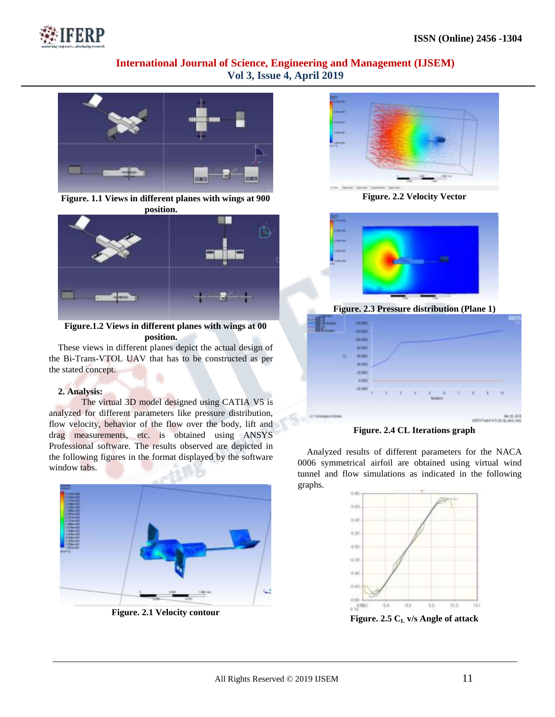

## **International Journal of Science, Engineering and Management (IJSEM) Vol 3, Issue 4, April 2019**



**Figure. 1.1 Views in different planes with wings at 900 position.**



#### **Figure.1.2 Views in different planes with wings at 00 position.**

These views in different planes depict the actual design of the Bi-Trans-VTOL UAV that has to be constructed as per the stated concept.

#### **2. Analysis:**

The virtual 3D model designed using CATIA V5 is analyzed for different parameters like pressure distribution, flow velocity, behavior of the flow over the body, lift and drag measurements, etc. is obtained using ANSYS Professional software. The results observed are depicted in the following figures in the format displayed by the software window tabs.



**Figure. 2.1 Velocity contour**



**Figure. 2.2 Velocity Vector**



**Figure. 2.3 Pressure distribution (Plane 1)**

|                      | 14, 382                             |               |              |          |              |            |           |                       |                |  |
|----------------------|-------------------------------------|---------------|--------------|----------|--------------|------------|-----------|-----------------------|----------------|--|
|                      | <b>CR 200</b>                       |               |              |          |              |            |           |                       |                |  |
|                      | 140,000                             |               |              |          |              |            |           |                       |                |  |
|                      | <b>B. MOTO</b>                      |               |              |          |              |            |           |                       |                |  |
| - 19                 | <b>MONT</b>                         |               |              |          |              |            |           |                       |                |  |
|                      | 88.993                              |               |              |          |              |            |           |                       |                |  |
|                      | <b>Jaliana</b>                      |               |              |          |              |            |           |                       |                |  |
|                      | 1,000                               |               |              |          |              |            |           |                       |                |  |
|                      | <b>Links</b><br>$\left( 1,1\right)$ | $\rightarrow$ | $\mathbf{L}$ | $\alpha$ | т.           | $-18$<br>٠ | $\lambda$ | K.                    | $\blacksquare$ |  |
|                      |                                     |               |              |          | <b>SIGHT</b> |            |           |                       |                |  |
|                      |                                     |               |              |          |              |            |           |                       |                |  |
| of Edmonton's Hollan |                                     |               |              |          |              |            |           | <b>MOTO FLAVE NET</b> |                |  |

**Figure. 2.4 CL Iterations graph**

Analyzed results of different parameters for the NACA 0006 symmetrical airfoil are obtained using virtual wind tunnel and flow simulations as indicated in the following graphs.



**Figure. 2.5 C<sup>L</sup> v/s Angle of attack**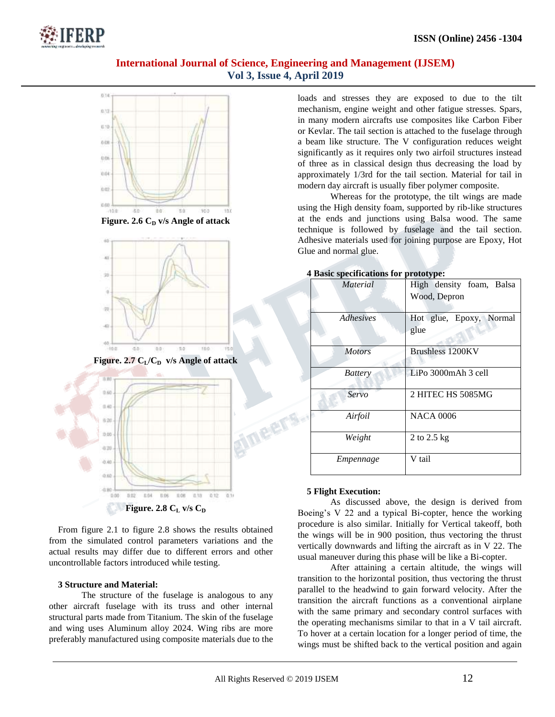

## **International Journal of Science, Engineering and Management (IJSEM) Vol 3, Issue 4, April 2019**



From figure 2.1 to figure 2.8 shows the results obtained from the simulated control parameters variations and the actual results may differ due to different errors and other uncontrollable factors introduced while testing.

#### **3 Structure and Material:**

The structure of the fuselage is analogous to any other aircraft fuselage with its truss and other internal structural parts made from Titanium. The skin of the fuselage and wing uses Aluminum alloy 2024. Wing ribs are more preferably manufactured using composite materials due to the loads and stresses they are exposed to due to the tilt mechanism, engine weight and other fatigue stresses. Spars, in many modern aircrafts use composites like Carbon Fiber or Kevlar. The tail section is attached to the fuselage through a beam like structure. The V configuration reduces weight significantly as it requires only two airfoil structures instead of three as in classical design thus decreasing the load by approximately 1/3rd for the tail section. Material for tail in modern day aircraft is usually fiber polymer composite.

Whereas for the prototype, the tilt wings are made using the High density foam, supported by rib-like structures at the ends and junctions using Balsa wood. The same technique is followed by fuselage and the tail section. Adhesive materials used for joining purpose are Epoxy, Hot Glue and normal glue.

| Dasic specifications for prototype. |                                          |  |  |  |  |  |
|-------------------------------------|------------------------------------------|--|--|--|--|--|
| <i>Material</i>                     | High density foam, Balsa<br>Wood, Depron |  |  |  |  |  |
|                                     |                                          |  |  |  |  |  |
| Adhesives                           | Hot glue, Epoxy, Normal                  |  |  |  |  |  |
|                                     | glue                                     |  |  |  |  |  |
| <i>Motors</i>                       | Brushless 1200KV                         |  |  |  |  |  |
| <b>Battery</b>                      | LiPo 3000mAh 3 cell                      |  |  |  |  |  |
| Servo                               | 2 HITEC HS 5085MG                        |  |  |  |  |  |
| Airfoil                             | <b>NACA 0006</b>                         |  |  |  |  |  |
| Weight                              | 2 to 2.5 kg                              |  |  |  |  |  |
| Empennage                           | V tail                                   |  |  |  |  |  |

#### **4 Basic specifications for prote**

#### **5 Flight Execution:**

As discussed above, the design is derived from Boeing's V 22 and a typical Bi-copter, hence the working procedure is also similar. Initially for Vertical takeoff, both the wings will be in 900 position, thus vectoring the thrust vertically downwards and lifting the aircraft as in V 22. The usual maneuver during this phase will be like a Bi-copter.

After attaining a certain altitude, the wings will transition to the horizontal position, thus vectoring the thrust parallel to the headwind to gain forward velocity. After the transition the aircraft functions as a conventional airplane with the same primary and secondary control surfaces with the operating mechanisms similar to that in a V tail aircraft. To hover at a certain location for a longer period of time, the wings must be shifted back to the vertical position and again